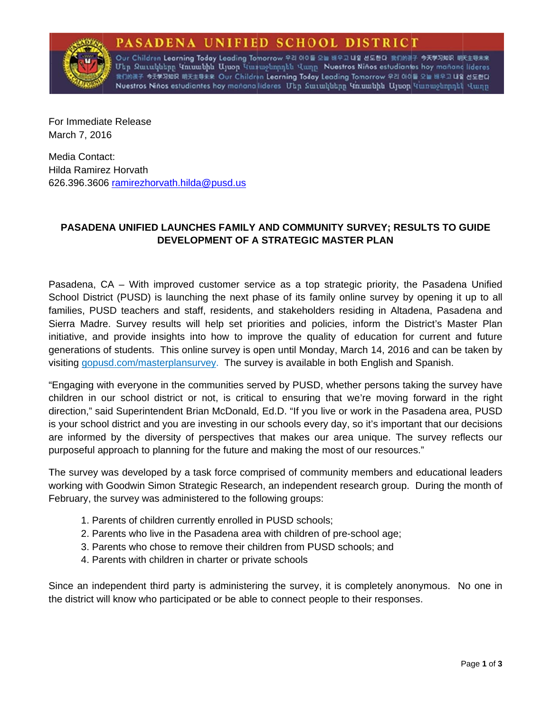## SADENA UNIFIED SCHOOL DISTRICT



Our Children <mark>Learning Today Leading Tomorrow</mark> 우리 아이를 오늘 배우고 내일 선도한다. 我们的孩子 今天学习知识 明天主导未来 Մեր Զաւակները Կուսանին Այսօր Կարաջնորդեն Վաղը Nuestros Niños estudiontes hoy mañana lideres 我们的孩子 今天学习知识 明天主导未来 Our Children Learning Today Leading Tomorrow 우리 아이들 오늘 배우고 내일 선도한다 Nuestros Niños estudiantes hoy manana lideres Ukn Lunwhukinn Unuunkhu Ujuon Tunnuolinnnkh Hunn

For Immediate Release March 7, 2016

Media Contact: Hilda Ramirez Horvath 626.396.3606 ramirezhorvath.hilda@pusd.us

## PASADENA UNIFIED LAUNCHES FAMILY AND COMMUNITY SURVEY; RESULTS TO GUIDE DEVELOPMENT OF A STRATEGIC MASTER PLAN

Pasadena, CA – With improved customer service as a top strategic priority, the Pasadena Unified School District (PUSD) is launching the next phase of its family online survey by opening it up to all families, PUSD teachers and staff, residents, and stakeholders residing in Altadena, Pasadena and Sierra Madre. Survey results will help set priorities and policies, inform the District's Master Plan initiative, and provide insights into how to improve the quality of education for current and future generations of students. This online survey is open until Monday, March 14, 2016 and can be taken by visiting gopusd.com/masterplansurvey. The survey is available in both English and Spanish.

"Engaging with everyone in the communities served by PUSD, whether persons taking the survey have children in our school district or not, is critical to ensuring that we're moving forward in the right direction," said Superintendent Brian McDonald, Ed.D. "If you live or work in the Pasadena area, PUSD is your school district and you are investing in our schools every day, so it's important that our decisions are informed by the diversity of perspectives that makes our area unique. The survey reflects our purposeful approach to planning for the future and making the most of our resources."

The survey was developed by a task force comprised of community members and educational leaders working with Goodwin Simon Strategic Research, an independent research group. During the month of February, the survey was administered to the following groups:

- 1. Parents of children currently enrolled in PUSD schools;
- 2. Parents who live in the Pasadena area with children of pre-school age;
- 3. Parents who chose to remove their children from PUSD schools; and
- 4. Parents with children in charter or private schools

Since an independent third party is administering the survey, it is completely anonymous. No one in the district will know who participated or be able to connect people to their responses.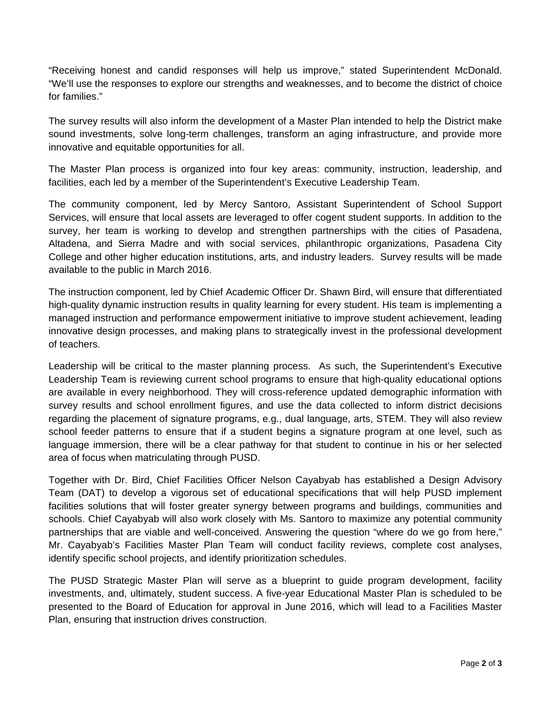"Receiving honest and candid responses will help us improve," stated Superintendent McDonald. "We'll use the responses to explore our strengths and weaknesses, and to become the district of choice for families."

The survey results will also inform the development of a Master Plan intended to help the District make sound investments, solve long-term challenges, transform an aging infrastructure, and provide more innovative and equitable opportunities for all.

The Master Plan process is organized into four key areas: community, instruction, leadership, and facilities, each led by a member of the Superintendent's Executive Leadership Team.

The community component, led by Mercy Santoro, Assistant Superintendent of School Support Services, will ensure that local assets are leveraged to offer cogent student supports. In addition to the survey, her team is working to develop and strengthen partnerships with the cities of Pasadena, Altadena, and Sierra Madre and with social services, philanthropic organizations, Pasadena City College and other higher education institutions, arts, and industry leaders. Survey results will be made available to the public in March 2016.

The instruction component, led by Chief Academic Officer Dr. Shawn Bird, will ensure that differentiated high-quality dynamic instruction results in quality learning for every student. His team is implementing a managed instruction and performance empowerment initiative to improve student achievement, leading innovative design processes, and making plans to strategically invest in the professional development of teachers.

Leadership will be critical to the master planning process. As such, the Superintendent's Executive Leadership Team is reviewing current school programs to ensure that high-quality educational options are available in every neighborhood. They will cross-reference updated demographic information with survey results and school enrollment figures, and use the data collected to inform district decisions regarding the placement of signature programs, e.g., dual language, arts, STEM. They will also review school feeder patterns to ensure that if a student begins a signature program at one level, such as language immersion, there will be a clear pathway for that student to continue in his or her selected area of focus when matriculating through PUSD.

Together with Dr. Bird, Chief Facilities Officer Nelson Cayabyab has established a Design Advisory Team (DAT) to develop a vigorous set of educational specifications that will help PUSD implement facilities solutions that will foster greater synergy between programs and buildings, communities and schools. Chief Cayabyab will also work closely with Ms. Santoro to maximize any potential community partnerships that are viable and well-conceived. Answering the question "where do we go from here," Mr. Cayabyab's Facilities Master Plan Team will conduct facility reviews, complete cost analyses, identify specific school projects, and identify prioritization schedules.

The PUSD Strategic Master Plan will serve as a blueprint to guide program development, facility investments, and, ultimately, student success. A five-year Educational Master Plan is scheduled to be presented to the Board of Education for approval in June 2016, which will lead to a Facilities Master Plan, ensuring that instruction drives construction.